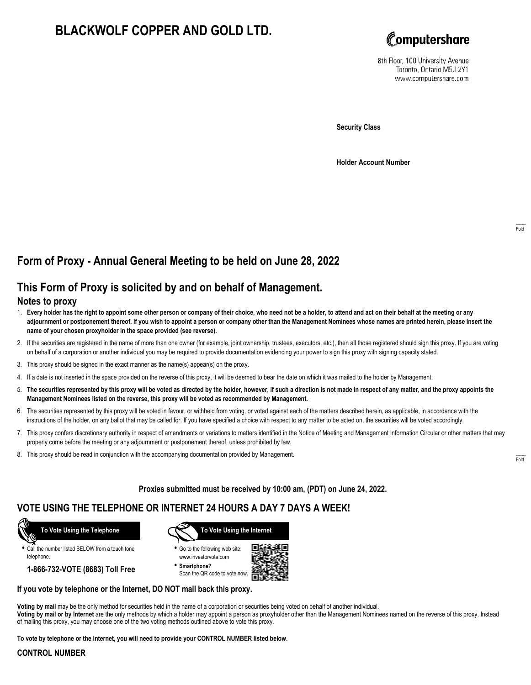# **BLACKWOLF COPPER AND GOLD LTD.**



8th Floor, 100 University Avenue Toronto, Ontario M5J 2Y1 www.computershare.com

**Security Class**

**Holder Account Number**

## **Form of Proxy - Annual General Meeting to be held on June 28, 2022**

## **This Form of Proxy is solicited by and on behalf of Management.**

#### **Notes to proxy**

- 1. **Every holder has the right to appoint some other person or company of their choice, who need not be a holder, to attend and act on their behalf at the meeting or any adjournment or postponement thereof. If you wish to appoint a person or company other than the Management Nominees whose names are printed herein, please insert the name of your chosen proxyholder in the space provided (see reverse).**
- 2. If the securities are registered in the name of more than one owner (for example, joint ownership, trustees, executors, etc.), then all those registered should sign this proxy. If you are voting on behalf of a corporation or another individual you may be required to provide documentation evidencing your power to sign this proxy with signing capacity stated.
- 3. This proxy should be signed in the exact manner as the name(s) appear(s) on the proxy.
- 4. If a date is not inserted in the space provided on the reverse of this proxy, it will be deemed to bear the date on which it was mailed to the holder by Management.
- 5. **The securities represented by this proxy will be voted as directed by the holder, however, if such a direction is not made in respect of any matter, and the proxy appoints the Management Nominees listed on the reverse, this proxy will be voted as recommended by Management.**
- 6. The securities represented by this proxy will be voted in favour, or withheld from voting, or voted against each of the matters described herein, as applicable, in accordance with the instructions of the holder, on any ballot that may be called for. If you have specified a choice with respect to any matter to be acted on, the securities will be voted accordingly.
- 7. This proxy confers discretionary authority in respect of amendments or variations to matters identified in the Notice of Meeting and Management Information Circular or other matters that may properly come before the meeting or any adjournment or postponement thereof, unless prohibited by law.
- 8. This proxy should be read in conjunction with the accompanying documentation provided by Management.

**Proxies submitted must be received by 10:00 am, (PDT) on June 24, 2022.**

## **VOTE USING THE TELEPHONE OR INTERNET 24 HOURS A DAY 7 DAYS A WEEK!**



**•** Call the number listed BELOW from a touch tone telephone.

**1-866-732-VOTE (8683) Toll Free**



**•** Go to the following web site: www.investorvote.com

**• Smartphone?** Scan the QR code to vote now.



#### **If you vote by telephone or the Internet, DO NOT mail back this proxy.**

**Voting by mail** may be the only method for securities held in the name of a corporation or securities being voted on behalf of another individual. **Voting by mail or by Internet** are the only methods by which a holder may appoint a person as proxyholder other than the Management Nominees named on the reverse of this proxy. Instead of mailing this proxy, you may choose one of the two voting methods outlined above to vote this proxy.

**To vote by telephone or the Internet, you will need to provide your CONTROL NUMBER listed below.**

#### **CONTROL NUMBER**